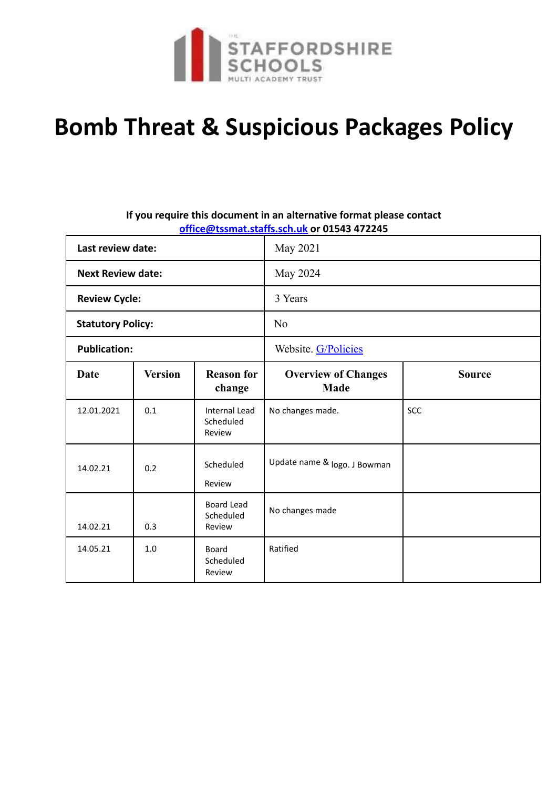

# **Bomb Threat & Suspicious Packages Policy**

# **If you require this document in an alternative format please contact office@tssmat.staffs.sch.uk or 01543 472245**

| Last review date:        |                |                                             | May 2021                                  |               |  |  |
|--------------------------|----------------|---------------------------------------------|-------------------------------------------|---------------|--|--|
| <b>Next Review date:</b> |                |                                             | May 2024                                  |               |  |  |
| <b>Review Cycle:</b>     |                |                                             | 3 Years                                   |               |  |  |
| <b>Statutory Policy:</b> |                |                                             | N <sub>0</sub>                            |               |  |  |
| <b>Publication:</b>      |                |                                             | Website. G/Policies                       |               |  |  |
| <b>Date</b>              | <b>Version</b> | <b>Reason for</b><br>change                 | <b>Overview of Changes</b><br><b>Made</b> | <b>Source</b> |  |  |
| 12.01.2021               | 0.1            | <b>Internal Lead</b><br>Scheduled<br>Review | No changes made.                          | <b>SCC</b>    |  |  |
| 14.02.21                 | 0.2            | Scheduled<br>Review                         | Update name & logo. J Bowman              |               |  |  |
| 14.02.21                 | 0.3            | <b>Board Lead</b><br>Scheduled<br>Review    | No changes made                           |               |  |  |
| 14.05.21                 | 1.0            | <b>Board</b><br>Scheduled<br>Review         | Ratified                                  |               |  |  |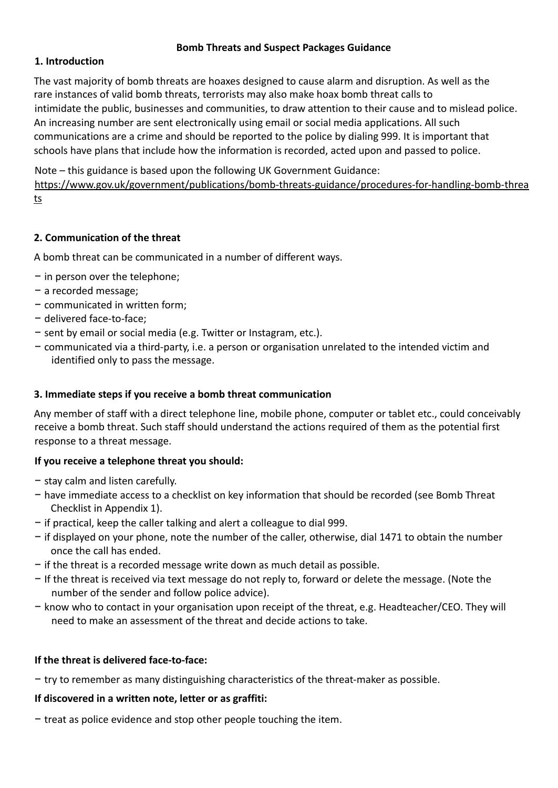# **Bomb Threats and Suspect Packages Guidance**

# **1. Introduction**

The vast majority of bomb threats are hoaxes designed to cause alarm and disruption. As well as the rare instances of valid bomb threats, terrorists may also make hoax bomb threat calls to intimidate the public, businesses and communities, to draw attention to their cause and to mislead police. An increasing number are sent electronically using email or social media applications. All such communications are a crime and should be reported to the police by dialing 999. It is important that schools have plans that include how the information is recorded, acted upon and passed to police.

Note – this guidance is based upon the following UK Government Guidance:

https://www.gov.uk/government/publications/bomb-threats-guidance/procedures-for-handling-bomb-threa ts

# **2. Communication of the threat**

A bomb threat can be communicated in a number of different ways.

- − in person over the telephone;
- − a recorded message;
- − communicated in written form;
- − delivered face-to-face;
- − sent by email or social media (e.g. Twitter or Instagram, etc.).
- − communicated via a third-party, i.e. a person or organisation unrelated to the intended victim and identified only to pass the message.

# **3. Immediate steps if you receive a bomb threat communication**

Any member of staff with a direct telephone line, mobile phone, computer or tablet etc., could conceivably receive a bomb threat. Such staff should understand the actions required of them as the potential first response to a threat message.

# **If you receive a telephone threat you should:**

- − stay calm and listen carefully.
- − have immediate access to a checklist on key information that should be recorded (see Bomb Threat Checklist in Appendix 1).
- − if practical, keep the caller talking and alert a colleague to dial 999.
- − if displayed on your phone, note the number of the caller, otherwise, dial 1471 to obtain the number once the call has ended.
- − if the threat is a recorded message write down as much detail as possible.
- − If the threat is received via text message do not reply to, forward or delete the message. (Note the number of the sender and follow police advice).
- − know who to contact in your organisation upon receipt of the threat, e.g. Headteacher/CEO. They will need to make an assessment of the threat and decide actions to take.

# **If the threat is delivered face-to-face:**

− try to remember as many distinguishing characteristics of the threat-maker as possible.

# **If discovered in a written note, letter or as graffiti:**

− treat as police evidence and stop other people touching the item.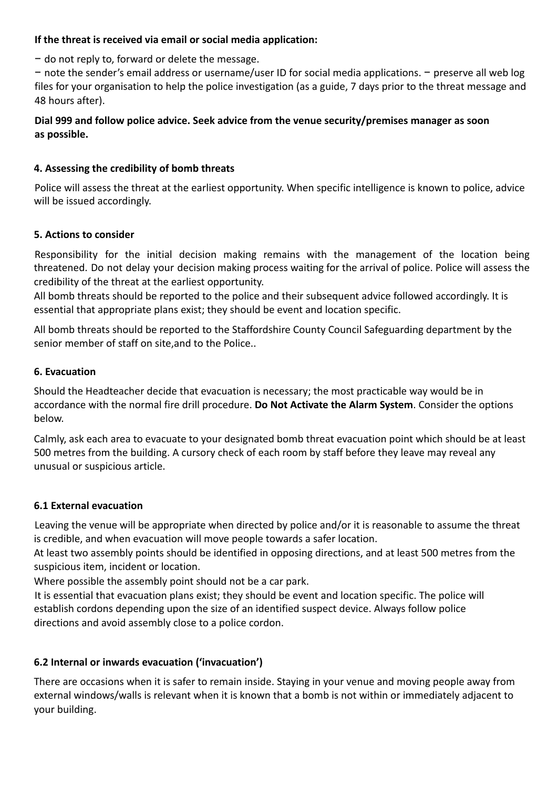#### **If the threat is received via email or social media application:**

− do not reply to, forward or delete the message.

− note the sender's email address or username/user ID for social media applications. − preserve all web log files for your organisation to help the police investigation (as a guide, 7 days prior to the threat message and 48 hours after).

# **Dial 999 and follow police advice. Seek advice from the venue security/premises manager as soon as possible.**

# **4. Assessing the credibility of bomb threats**

Police will assess the threat at the earliest opportunity. When specific intelligence is known to police, advice will be issued accordingly.

#### **5. Actions to consider**

Responsibility for the initial decision making remains with the management of the location being threatened. Do not delay your decision making process waiting for the arrival of police. Police will assess the credibility of the threat at the earliest opportunity.

All bomb threats should be reported to the police and their subsequent advice followed accordingly. It is essential that appropriate plans exist; they should be event and location specific.

All bomb threats should be reported to the Staffordshire County Council Safeguarding department by the senior member of staff on site,and to the Police..

#### **6. Evacuation**

Should the Headteacher decide that evacuation is necessary; the most practicable way would be in accordance with the normal fire drill procedure. **Do Not Activate the Alarm System**. Consider the options below.

Calmly, ask each area to evacuate to your designated bomb threat evacuation point which should be at least 500 metres from the building. A cursory check of each room by staff before they leave may reveal any unusual or suspicious article.

# **6.1 External evacuation**

Leaving the venue will be appropriate when directed by police and/or it is reasonable to assume the threat is credible, and when evacuation will move people towards a safer location.

At least two assembly points should be identified in opposing directions, and at least 500 metres from the suspicious item, incident or location.

Where possible the assembly point should not be a car park.

It is essential that evacuation plans exist; they should be event and location specific. The police will establish cordons depending upon the size of an identified suspect device. Always follow police directions and avoid assembly close to a police cordon.

# **6.2 Internal or inwards evacuation ('invacuation')**

There are occasions when it is safer to remain inside. Staying in your venue and moving people away from external windows/walls is relevant when it is known that a bomb is not within or immediately adjacent to your building.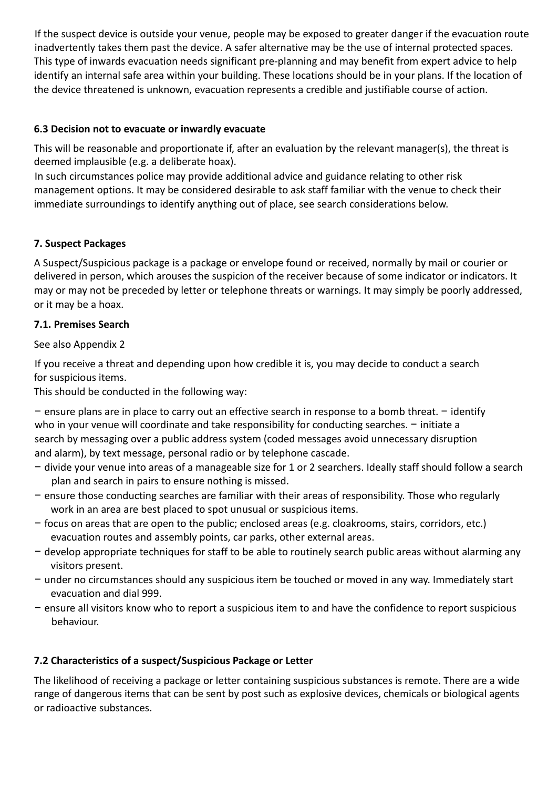If the suspect device is outside your venue, people may be exposed to greater danger if the evacuation route inadvertently takes them past the device. A safer alternative may be the use of internal protected spaces. This type of inwards evacuation needs significant pre-planning and may benefit from expert advice to help identify an internal safe area within your building. These locations should be in your plans. If the location of the device threatened is unknown, evacuation represents a credible and justifiable course of action.

# **6.3 Decision not to evacuate or inwardly evacuate**

This will be reasonable and proportionate if, after an evaluation by the relevant manager(s), the threat is deemed implausible (e.g. a deliberate hoax).

In such circumstances police may provide additional advice and guidance relating to other risk management options. It may be considered desirable to ask staff familiar with the venue to check their immediate surroundings to identify anything out of place, see search considerations below.

# **7. Suspect Packages**

A Suspect/Suspicious package is a package or envelope found or received, normally by mail or courier or delivered in person, which arouses the suspicion of the receiver because of some indicator or indicators. It may or may not be preceded by letter or telephone threats or warnings. It may simply be poorly addressed, or it may be a hoax.

# **7.1. Premises Search**

# See also Appendix 2

If you receive a threat and depending upon how credible it is, you may decide to conduct a search for suspicious items.

This should be conducted in the following way:

− ensure plans are in place to carry out an effective search in response to a bomb threat. − identify who in your venue will coordinate and take responsibility for conducting searches. − initiate a search by messaging over a public address system (coded messages avoid unnecessary disruption and alarm), by text message, personal radio or by telephone cascade.

- − divide your venue into areas of a manageable size for 1 or 2 searchers. Ideally staff should follow a search plan and search in pairs to ensure nothing is missed.
- − ensure those conducting searches are familiar with their areas of responsibility. Those who regularly work in an area are best placed to spot unusual or suspicious items.
- − focus on areas that are open to the public; enclosed areas (e.g. cloakrooms, stairs, corridors, etc.) evacuation routes and assembly points, car parks, other external areas.
- − develop appropriate techniques for staff to be able to routinely search public areas without alarming any visitors present.
- − under no circumstances should any suspicious item be touched or moved in any way. Immediately start evacuation and dial 999.
- − ensure all visitors know who to report a suspicious item to and have the confidence to report suspicious behaviour.

# **7.2 Characteristics of a suspect/Suspicious Package or Letter**

The likelihood of receiving a package or letter containing suspicious substances is remote. There are a wide range of dangerous items that can be sent by post such as explosive devices, chemicals or biological agents or radioactive substances.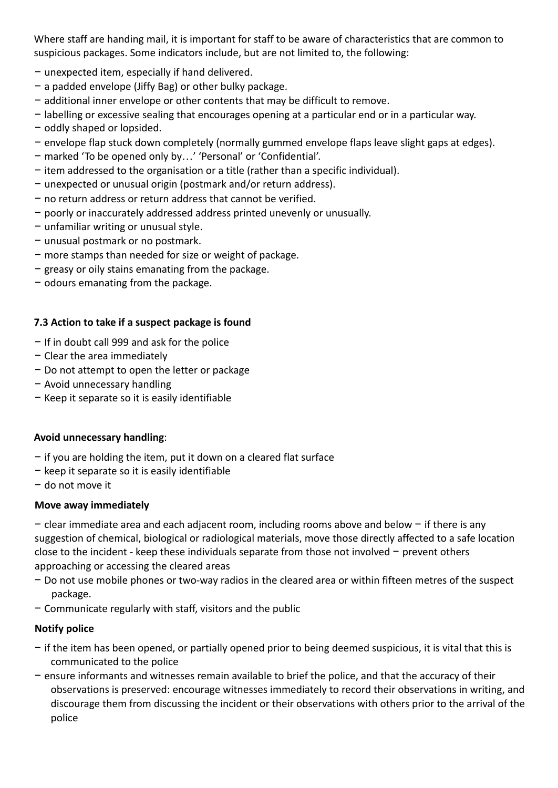Where staff are handing mail, it is important for staff to be aware of characteristics that are common to suspicious packages. Some indicators include, but are not limited to, the following:

- − unexpected item, especially if hand delivered.
- − a padded envelope (Jiffy Bag) or other bulky package.
- − additional inner envelope or other contents that may be difficult to remove.
- − labelling or excessive sealing that encourages opening at a particular end or in a particular way.
- − oddly shaped or lopsided.
- − envelope flap stuck down completely (normally gummed envelope flaps leave slight gaps at edges).
- − marked 'To be opened only by…' 'Personal' or 'Confidential'.
- − item addressed to the organisation or a title (rather than a specific individual).
- − unexpected or unusual origin (postmark and/or return address).
- − no return address or return address that cannot be verified.
- − poorly or inaccurately addressed address printed unevenly or unusually.
- − unfamiliar writing or unusual style.
- − unusual postmark or no postmark.
- − more stamps than needed for size or weight of package.
- − greasy or oily stains emanating from the package.
- − odours emanating from the package.

# **7.3 Action to take if a suspect package is found**

- − If in doubt call 999 and ask for the police
- − Clear the area immediately
- − Do not attempt to open the letter or package
- − Avoid unnecessary handling
- − Keep it separate so it is easily identifiable

# **Avoid unnecessary handling**:

- − if you are holding the item, put it down on a cleared flat surface
- − keep it separate so it is easily identifiable
- − do not move it

# **Move away immediately**

− clear immediate area and each adjacent room, including rooms above and below − if there is any suggestion of chemical, biological or radiological materials, move those directly affected to a safe location close to the incident - keep these individuals separate from those not involved − prevent others approaching or accessing the cleared areas

- − Do not use mobile phones or two-way radios in the cleared area or within fifteen metres of the suspect package.
- − Communicate regularly with staff, visitors and the public

# **Notify police**

- − if the item has been opened, or partially opened prior to being deemed suspicious, it is vital that this is communicated to the police
- − ensure informants and witnesses remain available to brief the police, and that the accuracy of their observations is preserved: encourage witnesses immediately to record their observations in writing, and discourage them from discussing the incident or their observations with others prior to the arrival of the police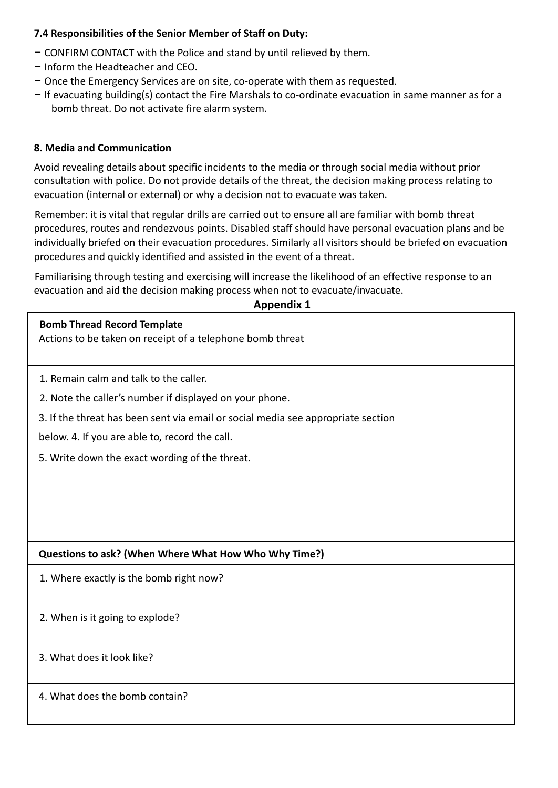# **7.4 Responsibilities of the Senior Member of Staff on Duty:**

- − CONFIRM CONTACT with the Police and stand by until relieved by them.
- − Inform the Headteacher and CEO.
- − Once the Emergency Services are on site, co-operate with them as requested.
- − If evacuating building(s) contact the Fire Marshals to co-ordinate evacuation in same manner as for a bomb threat. Do not activate fire alarm system.

#### **8. Media and Communication**

Avoid revealing details about specific incidents to the media or through social media without prior consultation with police. Do not provide details of the threat, the decision making process relating to evacuation (internal or external) or why a decision not to evacuate was taken.

Remember: it is vital that regular drills are carried out to ensure all are familiar with bomb threat procedures, routes and rendezvous points. Disabled staff should have personal evacuation plans and be individually briefed on their evacuation procedures. Similarly all visitors should be briefed on evacuation procedures and quickly identified and assisted in the event of a threat.

Familiarising through testing and exercising will increase the likelihood of an effective response to an evacuation and aid the decision making process when not to evacuate/invacuate.

#### **Appendix 1**

| <b>Bomb Thread Record Template</b><br>Actions to be taken on receipt of a telephone bomb threat |  |  |  |  |  |
|-------------------------------------------------------------------------------------------------|--|--|--|--|--|
| 1. Remain calm and talk to the caller.                                                          |  |  |  |  |  |
| 2. Note the caller's number if displayed on your phone.                                         |  |  |  |  |  |
| 3. If the threat has been sent via email or social media see appropriate section                |  |  |  |  |  |
| below. 4. If you are able to, record the call.                                                  |  |  |  |  |  |
| 5. Write down the exact wording of the threat.                                                  |  |  |  |  |  |
|                                                                                                 |  |  |  |  |  |
|                                                                                                 |  |  |  |  |  |
|                                                                                                 |  |  |  |  |  |
| Questions to ask? (When Where What How Who Why Time?)                                           |  |  |  |  |  |
| 1. Where exactly is the bomb right now?                                                         |  |  |  |  |  |
|                                                                                                 |  |  |  |  |  |
| 2. When is it going to explode?                                                                 |  |  |  |  |  |
| 3. What does it look like?                                                                      |  |  |  |  |  |
| 4. What does the bomb contain?                                                                  |  |  |  |  |  |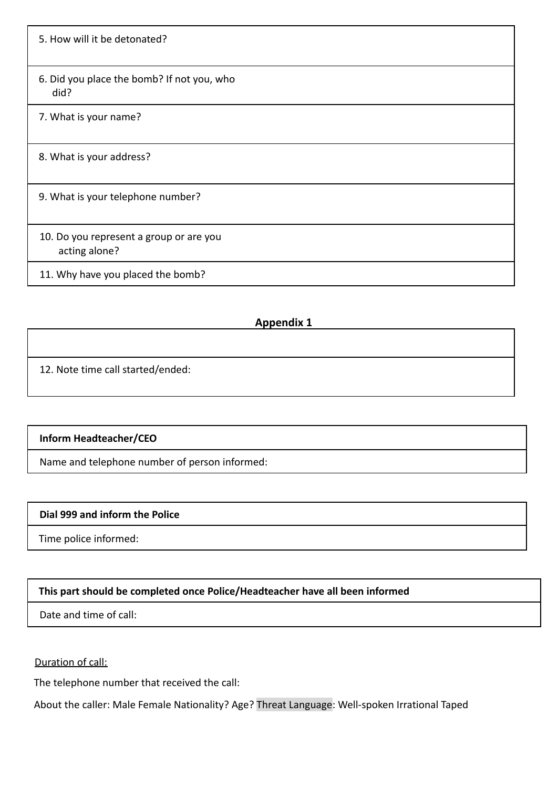5. How will it be detonated? 6. Did you place the bomb? If not you, who did? 7. What is your name? 8. What is your address? 9. What is your telephone number? 10. Do you represent a group or are you acting alone? 11. Why have you placed the bomb?

# **Appendix 1**

12. Note time call started/ended:

# **Inform Headteacher/CEO**

Name and telephone number of person informed:

#### **Dial 999 and inform the Police**

Time police informed:

# **This part should be completed once Police/Headteacher have all been informed**

Date and time of call:

Duration of call:

The telephone number that received the call:

About the caller: Male Female Nationality? Age? Threat Language: Well-spoken Irrational Taped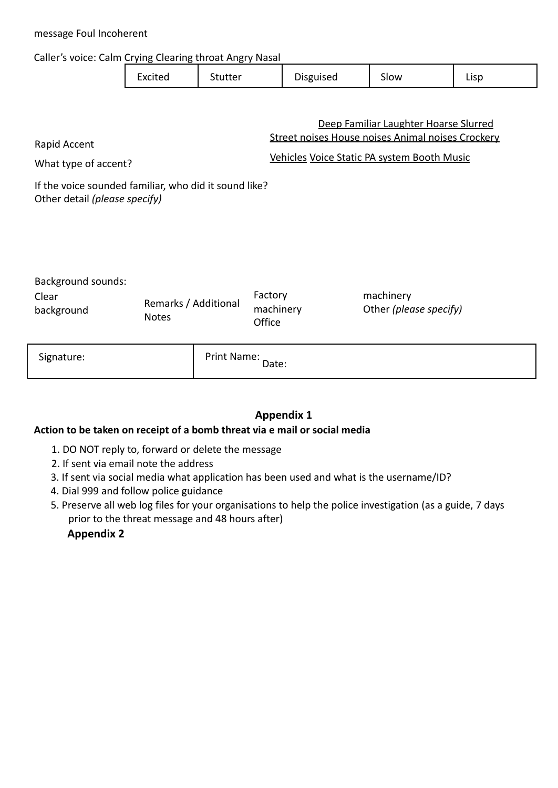| message Foul Incoherent                                                                                                                                                                                                                    |                                      |         |                                |           |                                     |      |  |  |  |
|--------------------------------------------------------------------------------------------------------------------------------------------------------------------------------------------------------------------------------------------|--------------------------------------|---------|--------------------------------|-----------|-------------------------------------|------|--|--|--|
| Caller's voice: Calm Crying Clearing throat Angry Nasal                                                                                                                                                                                    |                                      |         |                                |           |                                     |      |  |  |  |
|                                                                                                                                                                                                                                            | Excited                              | Stutter |                                | Disguised | Slow                                | Lisp |  |  |  |
| Deep Familiar Laughter Hoarse Slurred<br>Street noises House noises Animal noises Crockery<br>Rapid Accent<br>Vehicles Voice Static PA system Booth Music<br>What type of accent?<br>If the voice sounded familiar, who did it sound like? |                                      |         |                                |           |                                     |      |  |  |  |
| Other detail (please specify)                                                                                                                                                                                                              |                                      |         |                                |           |                                     |      |  |  |  |
| <b>Background sounds:</b><br>Clear<br>background                                                                                                                                                                                           | Remarks / Additional<br><b>Notes</b> |         | Factory<br>machinery<br>Office |           | machinery<br>Other (please specify) |      |  |  |  |
| Signature:                                                                                                                                                                                                                                 | Print Name:                          |         | Date:                          |           |                                     |      |  |  |  |

# **Appendix 1**

# **Action to be taken on receipt of a bomb threat via e mail or social media**

- 1. DO NOT reply to, forward or delete the message
- 2. If sent via email note the address
- 3. If sent via social media what application has been used and what is the username/ID?
- 4. Dial 999 and follow police guidance
- 5. Preserve all web log files for your organisations to help the police investigation (as a guide, 7 days prior to the threat message and 48 hours after)

# **Appendix 2**